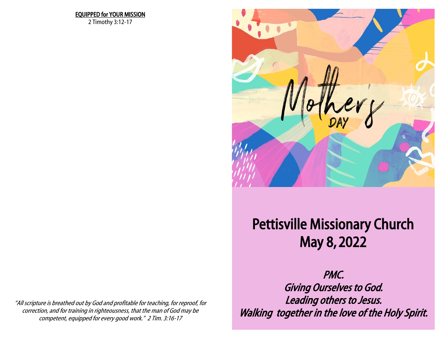## EQUIPPED for YOUR MISSION

2 Timothy 3:12-17



## Pettisville Missionary Church Petris Mission Report of the Mission Report of the Mission Report of the Mission Report of the Mission Report o<br>Petrison Report of the Mission Report of the Mission Report of the Mission Report of the Mission Report of the May 8, 2022

"All scripture is breathed out by God and profitable for teaching, for reproof, for correction, and for training in righteousness, that the man of God may be competent, equipped for every good work." 2 Tim. 3:16-17

 $S_{\rm max}$  Saturday, April 16  $\alpha$  7:00  $\alpha$  7:00  $\alpha$  7:00  $\alpha$  7:00  $\alpha$  7:00  $\alpha$  7:00  $\alpha$  7:00  $\alpha$  7:00  $\alpha$  7:00  $\alpha$  7:00  $\alpha$  7:00  $\alpha$  7:00  $\alpha$  7:00  $\alpha$  7:00  $\alpha$  7:00  $\alpha$  7:00  $\alpha$  7:00  $\alpha$  7:00  $\alpha$  7:00  $\alpha$ endown to the control of the state of the state of the state of the state of the state of the state of the sta<br>Sunday, April 19 and 20:00 AM Series of the state of the state of the state of the state of the state of the s Leading others to Jesus. PMC. Walking together in the love of the Holy Spirit.